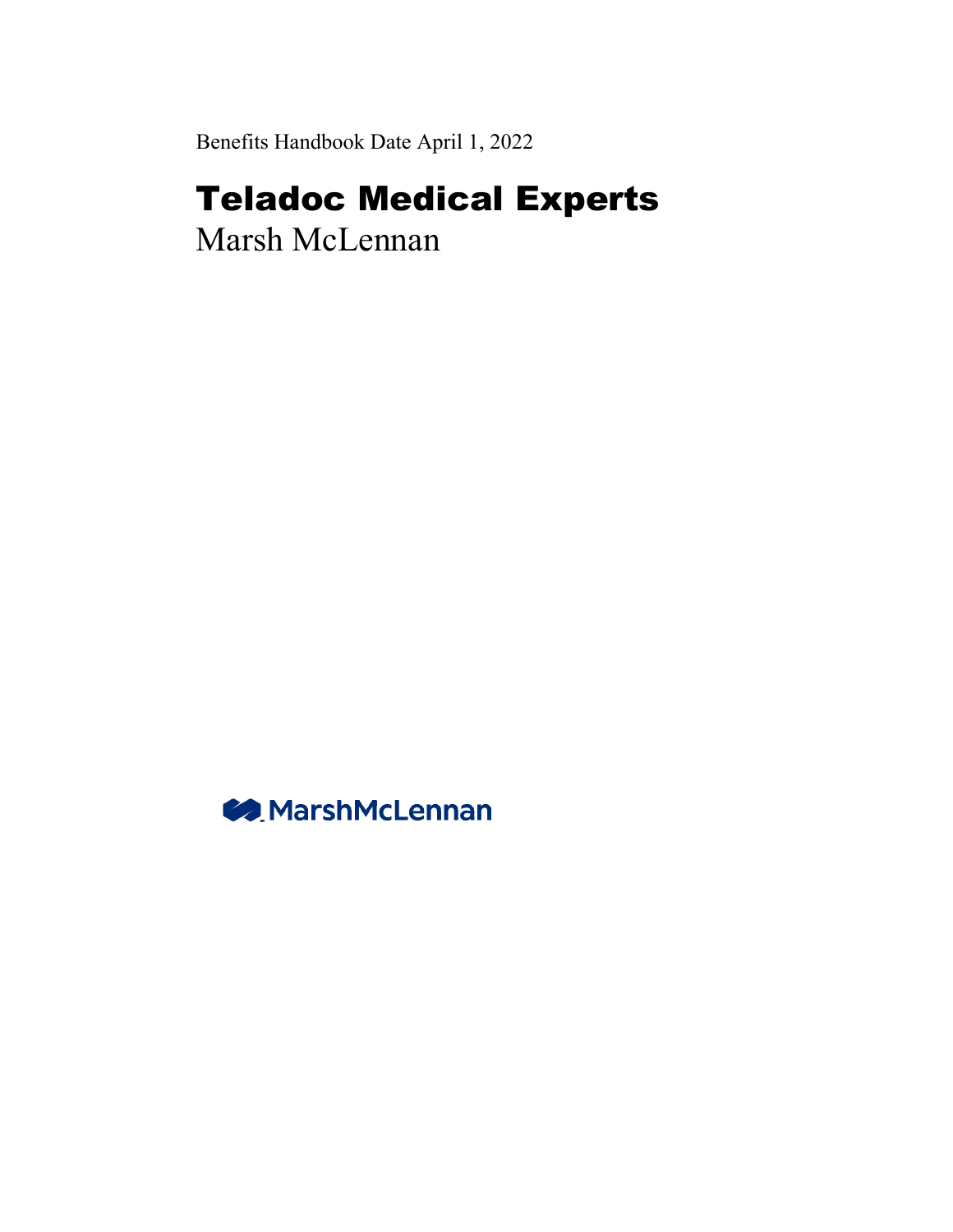Benefits Handbook Date April 1, 2022

# Teladoc Medical Experts

Marsh McLennan

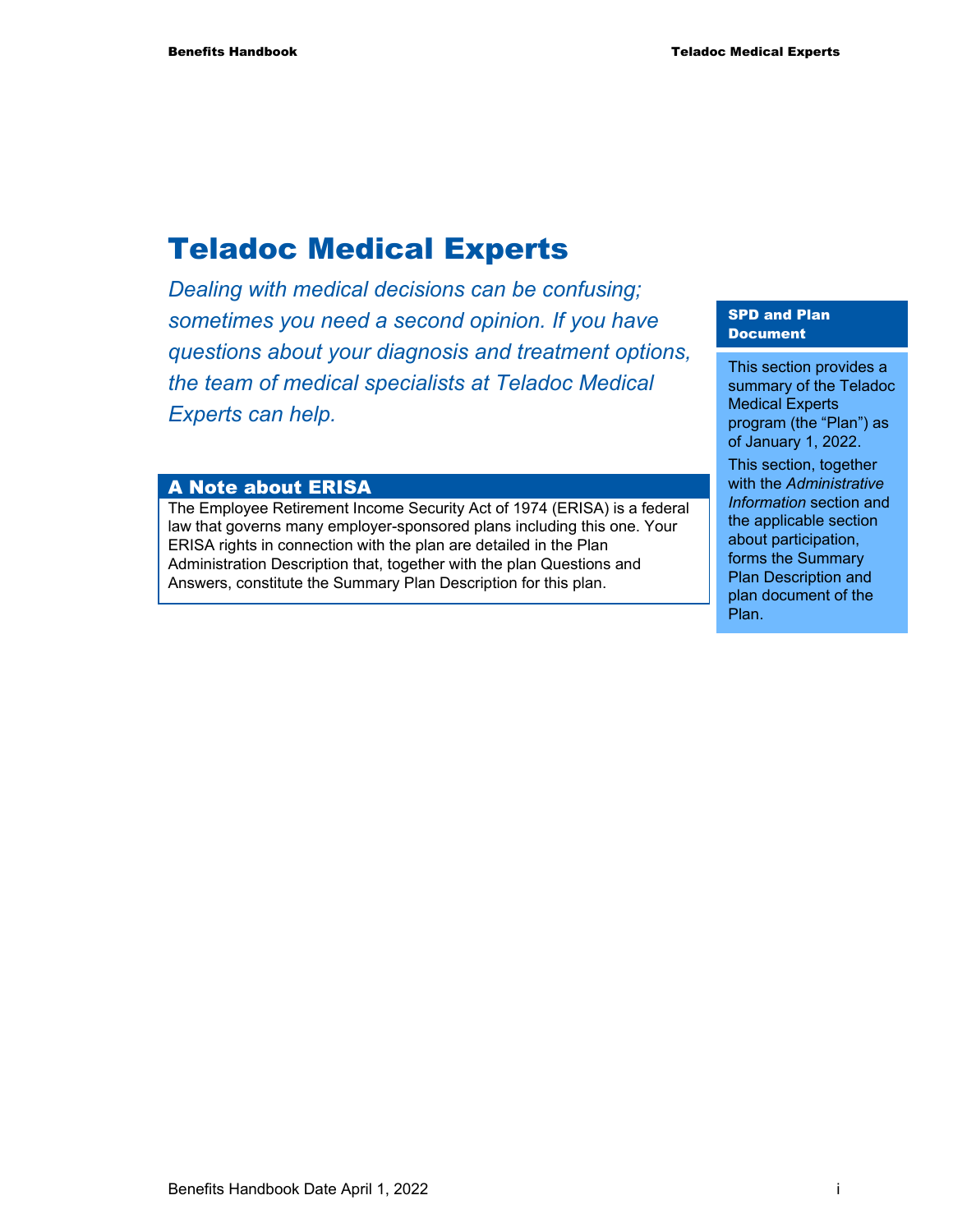## Teladoc Medical Experts

*Dealing with medical decisions can be confusing; sometimes you need a second opinion. If you have questions about your diagnosis and treatment options, the team of medical specialists at Teladoc Medical Experts can help.* 

#### A Note about ERISA

The Employee Retirement Income Security Act of 1974 (ERISA) is a federal law that governs many employer-sponsored plans including this one. Your ERISA rights in connection with the plan are detailed in the Plan Administration Description that, together with the plan Questions and Answers, constitute the Summary Plan Description for this plan.

#### SPD and Plan Document

This section provides a summary of the Teladoc Medical Experts program (the "Plan") as of January 1, 2022.

This section, together with the *Administrative Information* section and the applicable section about participation, forms the Summary Plan Description and plan document of the Plan.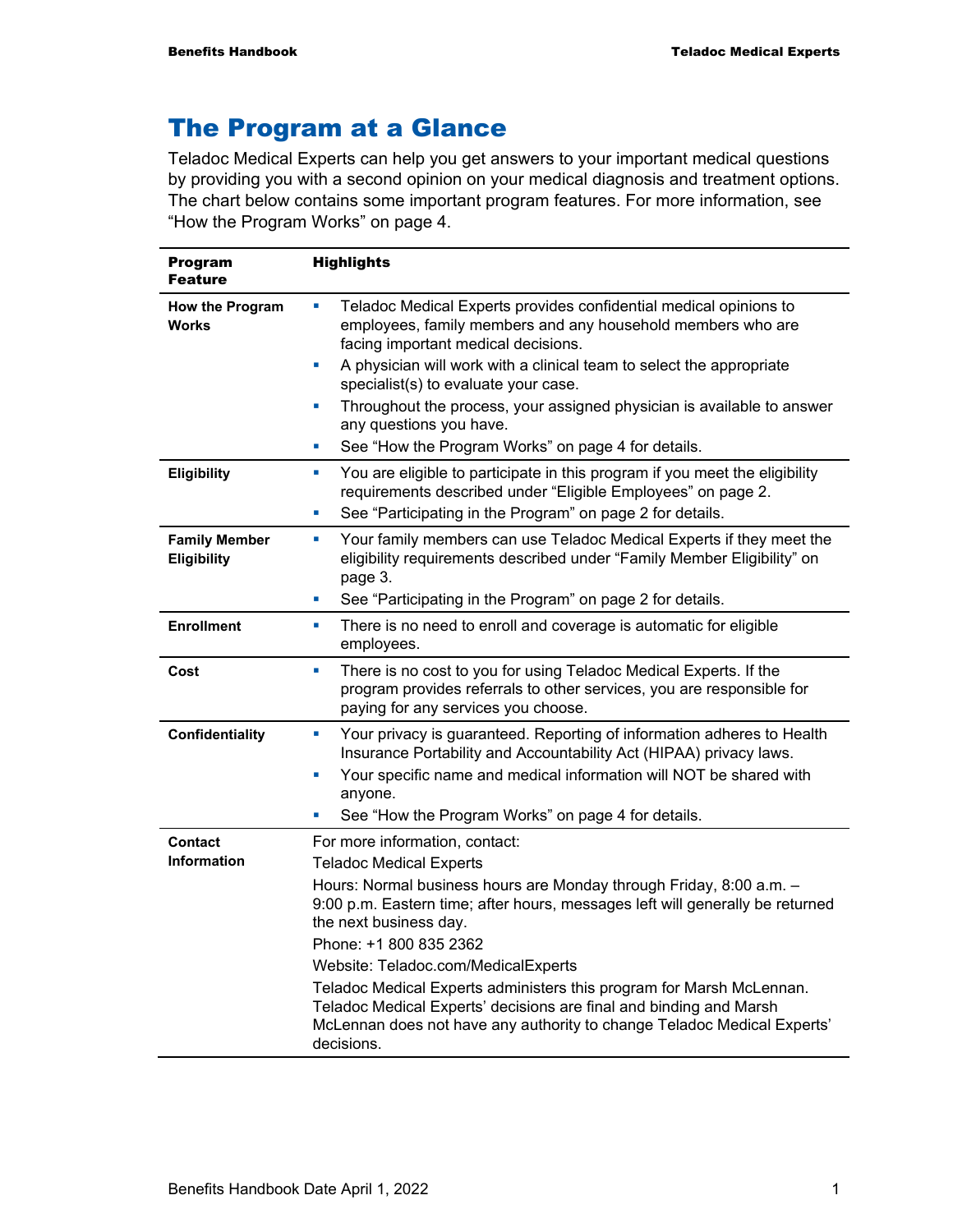## The Program at a Glance

Teladoc Medical Experts can help you get answers to your important medical questions by providing you with a second opinion on your medical diagnosis and treatment options. The chart below contains some important program features. For more information, see "How the Program Works" on page 4.

| <b>Program</b><br><b>Feature</b>    | <b>Highlights</b>                                                                                                                                                                      |
|-------------------------------------|----------------------------------------------------------------------------------------------------------------------------------------------------------------------------------------|
| How the Program<br><b>Works</b>     | Teladoc Medical Experts provides confidential medical opinions to<br>ш<br>employees, family members and any household members who are<br>facing important medical decisions.           |
|                                     | A physician will work with a clinical team to select the appropriate<br>ш<br>specialist(s) to evaluate your case.                                                                      |
|                                     | Throughout the process, your assigned physician is available to answer<br>u,<br>any questions you have.                                                                                |
|                                     | See "How the Program Works" on page 4 for details.<br>×                                                                                                                                |
| Eligibility                         | You are eligible to participate in this program if you meet the eligibility<br>$\blacksquare$<br>requirements described under "Eligible Employees" on page 2.                          |
|                                     | See "Participating in the Program" on page 2 for details.<br>ш                                                                                                                         |
| <b>Family Member</b><br>Eligibility | Your family members can use Teladoc Medical Experts if they meet the<br><b>I</b><br>eligibility requirements described under "Family Member Eligibility" on<br>page 3.                 |
|                                     | See "Participating in the Program" on page 2 for details.<br>L.                                                                                                                        |
| <b>Enrollment</b>                   | There is no need to enroll and coverage is automatic for eligible<br>ш<br>employees.                                                                                                   |
| Cost                                | There is no cost to you for using Teladoc Medical Experts. If the<br>×<br>program provides referrals to other services, you are responsible for<br>paying for any services you choose. |
| <b>Confidentiality</b>              | Your privacy is guaranteed. Reporting of information adheres to Health<br>$\blacksquare$<br>Insurance Portability and Accountability Act (HIPAA) privacy laws.                         |
|                                     | Your specific name and medical information will NOT be shared with<br>u,<br>anyone.                                                                                                    |
|                                     | See "How the Program Works" on page 4 for details.<br>u,                                                                                                                               |
| <b>Contact</b>                      | For more information, contact:                                                                                                                                                         |
| <b>Information</b>                  | <b>Teladoc Medical Experts</b>                                                                                                                                                         |
|                                     | Hours: Normal business hours are Monday through Friday, 8:00 a.m. -                                                                                                                    |
|                                     | 9:00 p.m. Eastern time; after hours, messages left will generally be returned<br>the next business day.                                                                                |
|                                     | Phone: +1 800 835 2362                                                                                                                                                                 |
|                                     | Website: Teladoc.com/MedicalExperts                                                                                                                                                    |
|                                     | Teladoc Medical Experts administers this program for Marsh McLennan.                                                                                                                   |
|                                     | Teladoc Medical Experts' decisions are final and binding and Marsh<br>McLennan does not have any authority to change Teladoc Medical Experts'<br>decisions.                            |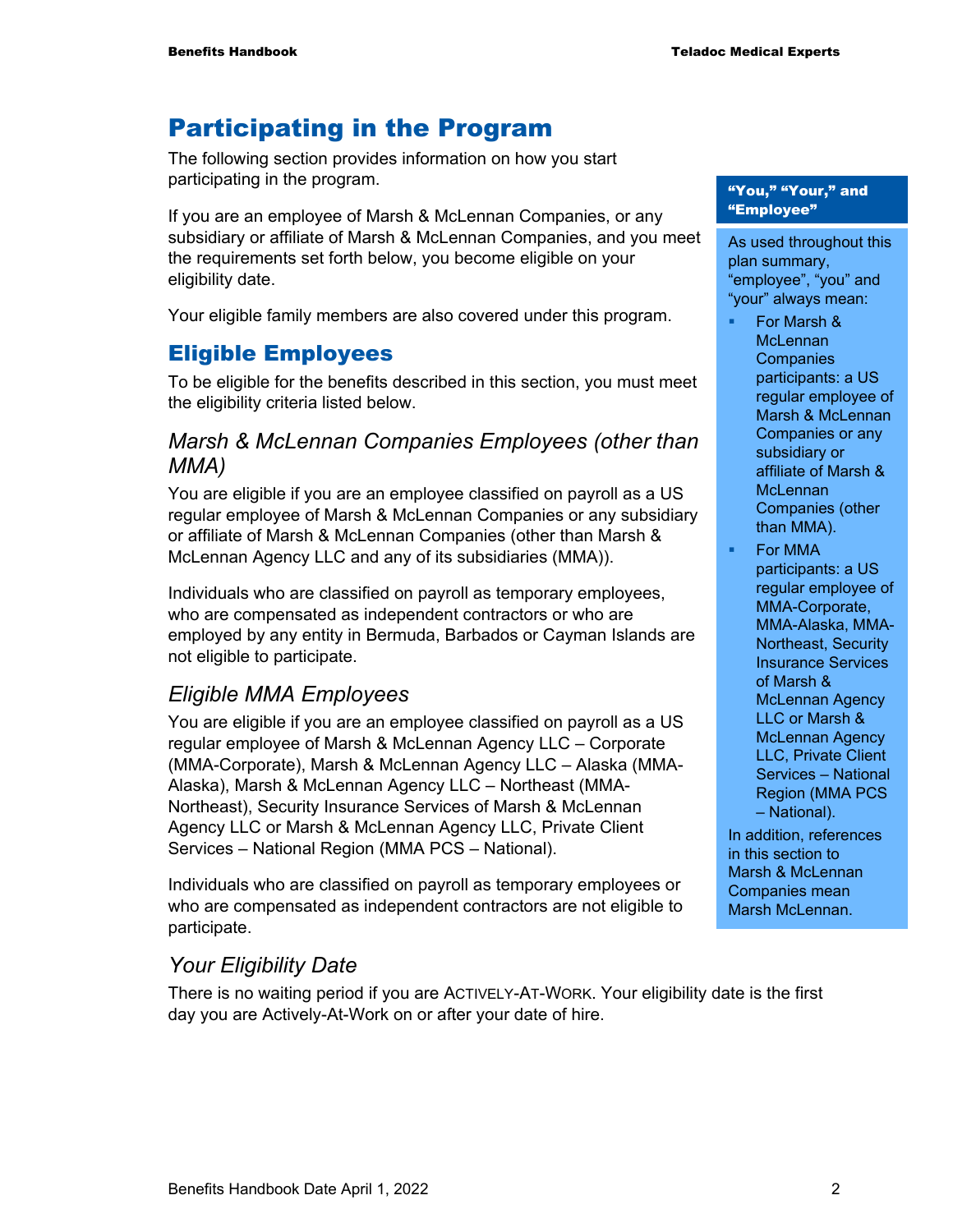## Participating in the Program

The following section provides information on how you start participating in the program.

If you are an employee of Marsh & McLennan Companies, or any subsidiary or affiliate of Marsh & McLennan Companies, and you meet the requirements set forth below, you become eligible on your eligibility date.

Your eligible family members are also covered under this program.

#### Eligible Employees

To be eligible for the benefits described in this section, you must meet the eligibility criteria listed below.

#### *Marsh & McLennan Companies Employees (other than MMA)*

You are eligible if you are an employee classified on payroll as a US regular employee of Marsh & McLennan Companies or any subsidiary or affiliate of Marsh & McLennan Companies (other than Marsh & McLennan Agency LLC and any of its subsidiaries (MMA)).

Individuals who are classified on payroll as temporary employees, who are compensated as independent contractors or who are employed by any entity in Bermuda, Barbados or Cayman Islands are not eligible to participate.

#### *Eligible MMA Employees*

You are eligible if you are an employee classified on payroll as a US regular employee of Marsh & McLennan Agency LLC – Corporate (MMA-Corporate), Marsh & McLennan Agency LLC – Alaska (MMA-Alaska), Marsh & McLennan Agency LLC – Northeast (MMA-Northeast), Security Insurance Services of Marsh & McLennan Agency LLC or Marsh & McLennan Agency LLC, Private Client Services – National Region (MMA PCS – National).

Individuals who are classified on payroll as temporary employees or who are compensated as independent contractors are not eligible to participate.

#### *Your Eligibility Date*

There is no waiting period if you are ACTIVELY-AT-WORK. Your eligibility date is the first day you are Actively-At-Work on or after your date of hire.

#### "You," "Your," and "Employee"

As used throughout this plan summary, "employee", "you" and "your" always mean:

- For Marsh & **McLennan Companies** participants: a US regular employee of Marsh & McLennan Companies or any subsidiary or affiliate of Marsh & **McLennan** Companies (other than MMA).
- For MMA participants: a US regular employee of MMA-Corporate, MMA-Alaska, MMA-Northeast, Security Insurance Services of Marsh & McLennan Agency LLC or Marsh & McLennan Agency LLC, Private Client Services – National Region (MMA PCS – National).

In addition, references in this section to Marsh & McLennan Companies mean Marsh McLennan.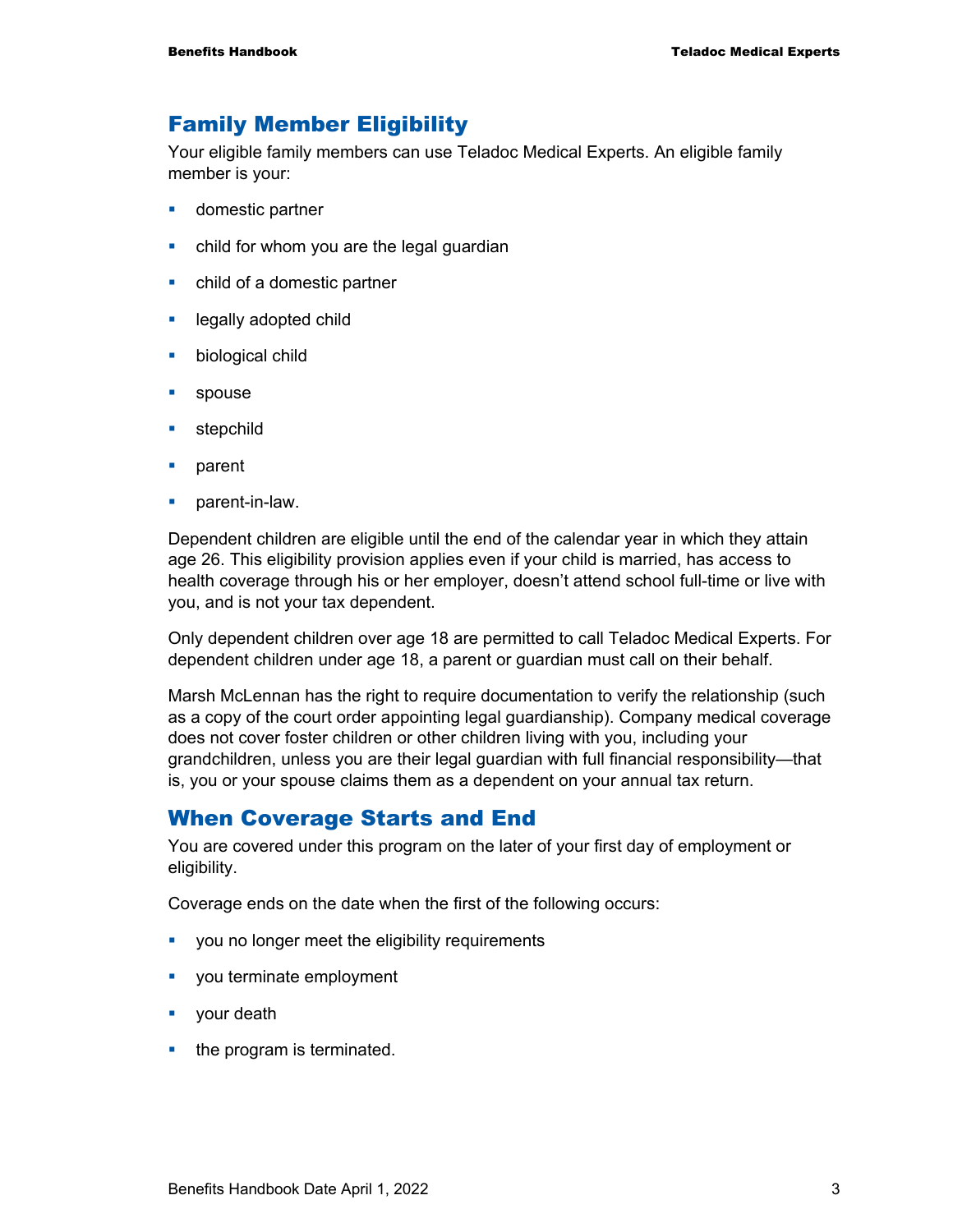#### Family Member Eligibility

Your eligible family members can use Teladoc Medical Experts. An eligible family member is your:

- **domestic partner**
- child for whom you are the legal guardian
- child of a domestic partner
- **Example 2** legally adopted child
- **•** biological child
- **spouse**
- **stepchild**
- **parent**
- parent-in-law.

Dependent children are eligible until the end of the calendar year in which they attain age 26. This eligibility provision applies even if your child is married, has access to health coverage through his or her employer, doesn't attend school full-time or live with you, and is not your tax dependent.

Only dependent children over age 18 are permitted to call Teladoc Medical Experts. For dependent children under age 18, a parent or guardian must call on their behalf.

Marsh McLennan has the right to require documentation to verify the relationship (such as a copy of the court order appointing legal guardianship). Company medical coverage does not cover foster children or other children living with you, including your grandchildren, unless you are their legal guardian with full financial responsibility—that is, you or your spouse claims them as a dependent on your annual tax return.

#### When Coverage Starts and End

You are covered under this program on the later of your first day of employment or eligibility.

Coverage ends on the date when the first of the following occurs:

- **•** you no longer meet the eligibility requirements
- vou terminate employment
- **vour death**
- $\blacksquare$  the program is terminated.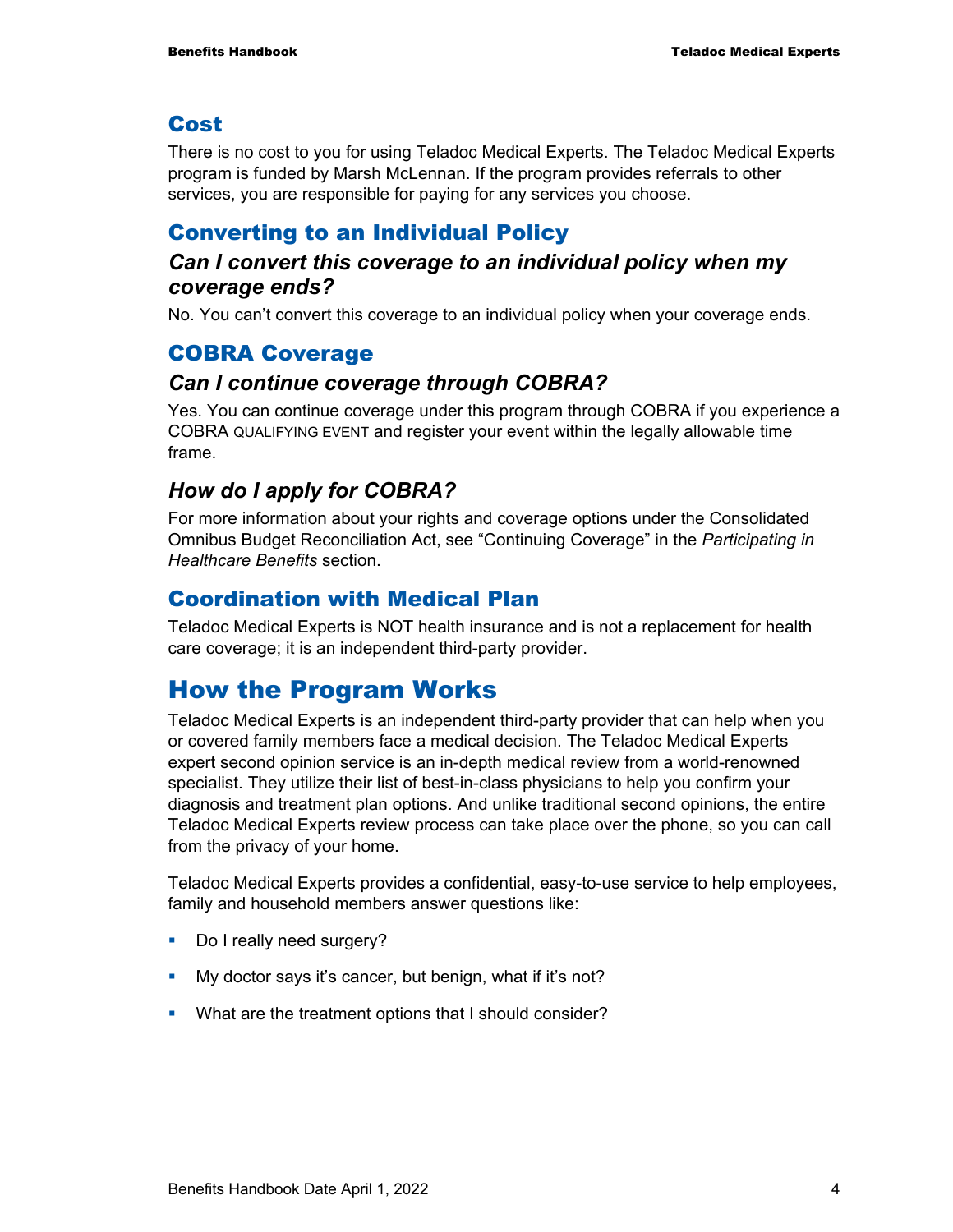#### Cost

There is no cost to you for using Teladoc Medical Experts. The Teladoc Medical Experts program is funded by Marsh McLennan. If the program provides referrals to other services, you are responsible for paying for any services you choose.

#### Converting to an Individual Policy

#### *Can I convert this coverage to an individual policy when my coverage ends?*

No. You can't convert this coverage to an individual policy when your coverage ends.

#### COBRA Coverage

#### *Can I continue coverage through COBRA?*

Yes. You can continue coverage under this program through COBRA if you experience a COBRA QUALIFYING EVENT and register your event within the legally allowable time frame.

#### *How do I apply for COBRA?*

For more information about your rights and coverage options under the Consolidated Omnibus Budget Reconciliation Act, see "Continuing Coverage" in the *Participating in Healthcare Benefits* section.

#### Coordination with Medical Plan

Teladoc Medical Experts is NOT health insurance and is not a replacement for health care coverage; it is an independent third-party provider.

## How the Program Works

Teladoc Medical Experts is an independent third-party provider that can help when you or covered family members face a medical decision. The Teladoc Medical Experts expert second opinion service is an in-depth medical review from a world-renowned specialist. They utilize their list of best-in-class physicians to help you confirm your diagnosis and treatment plan options. And unlike traditional second opinions, the entire Teladoc Medical Experts review process can take place over the phone, so you can call from the privacy of your home.

Teladoc Medical Experts provides a confidential, easy-to-use service to help employees, family and household members answer questions like:

- Do I really need surgery?
- My doctor says it's cancer, but benign, what if it's not?
- What are the treatment options that I should consider?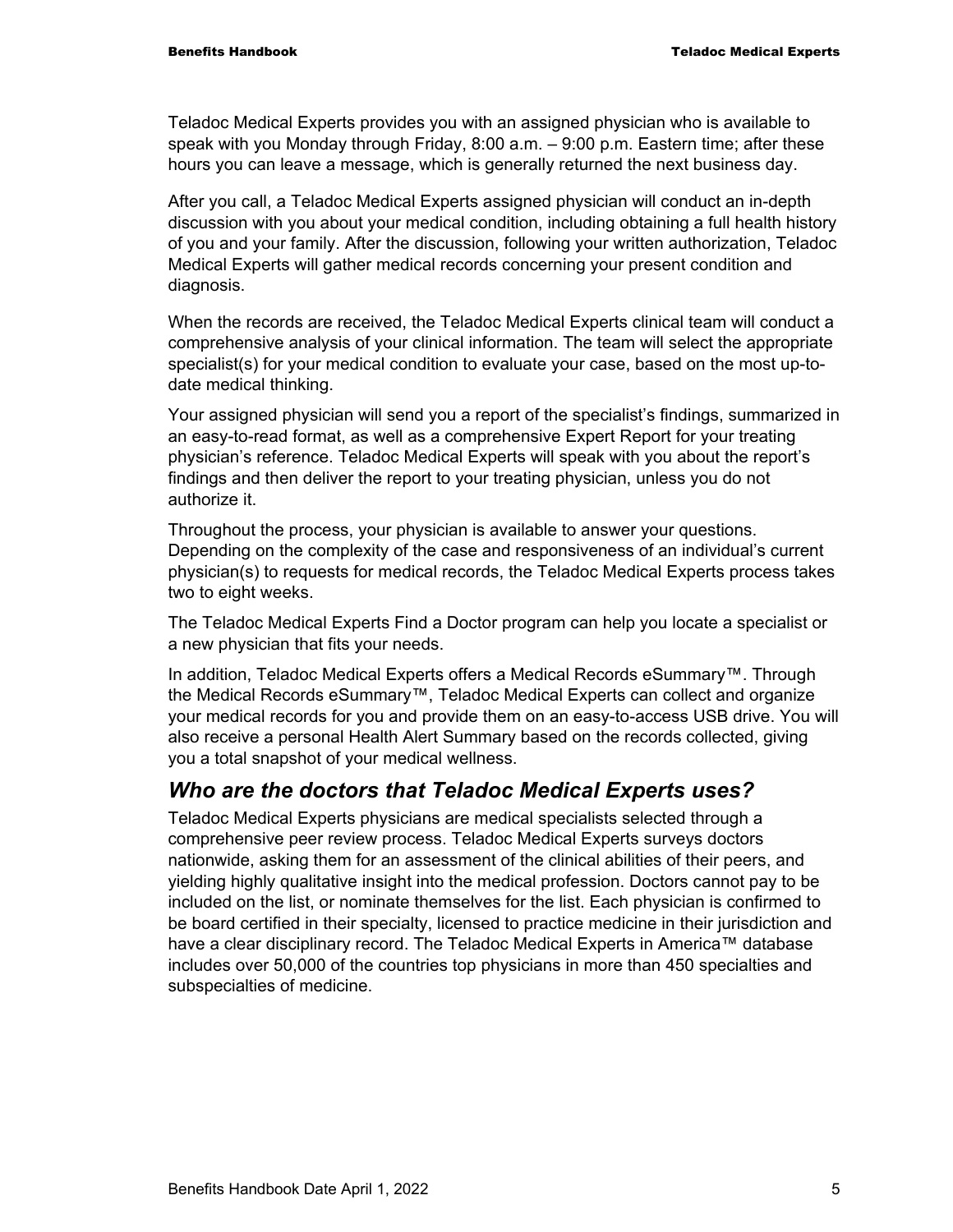Teladoc Medical Experts provides you with an assigned physician who is available to speak with you Monday through Friday, 8:00 a.m. – 9:00 p.m. Eastern time; after these hours you can leave a message, which is generally returned the next business day.

After you call, a Teladoc Medical Experts assigned physician will conduct an in-depth discussion with you about your medical condition, including obtaining a full health history of you and your family. After the discussion, following your written authorization, Teladoc Medical Experts will gather medical records concerning your present condition and diagnosis.

When the records are received, the Teladoc Medical Experts clinical team will conduct a comprehensive analysis of your clinical information. The team will select the appropriate specialist(s) for your medical condition to evaluate your case, based on the most up-todate medical thinking.

Your assigned physician will send you a report of the specialist's findings, summarized in an easy-to-read format, as well as a comprehensive Expert Report for your treating physician's reference. Teladoc Medical Experts will speak with you about the report's findings and then deliver the report to your treating physician, unless you do not authorize it.

Throughout the process, your physician is available to answer your questions. Depending on the complexity of the case and responsiveness of an individual's current physician(s) to requests for medical records, the Teladoc Medical Experts process takes two to eight weeks.

The Teladoc Medical Experts Find a Doctor program can help you locate a specialist or a new physician that fits your needs.

In addition, Teladoc Medical Experts offers a Medical Records eSummary™. Through the Medical Records eSummary™, Teladoc Medical Experts can collect and organize your medical records for you and provide them on an easy-to-access USB drive. You will also receive a personal Health Alert Summary based on the records collected, giving you a total snapshot of your medical wellness.

#### *Who are the doctors that Teladoc Medical Experts uses?*

Teladoc Medical Experts physicians are medical specialists selected through a comprehensive peer review process. Teladoc Medical Experts surveys doctors nationwide, asking them for an assessment of the clinical abilities of their peers, and yielding highly qualitative insight into the medical profession. Doctors cannot pay to be included on the list, or nominate themselves for the list. Each physician is confirmed to be board certified in their specialty, licensed to practice medicine in their jurisdiction and have a clear disciplinary record. The Teladoc Medical Experts in America™ database includes over 50,000 of the countries top physicians in more than 450 specialties and subspecialties of medicine.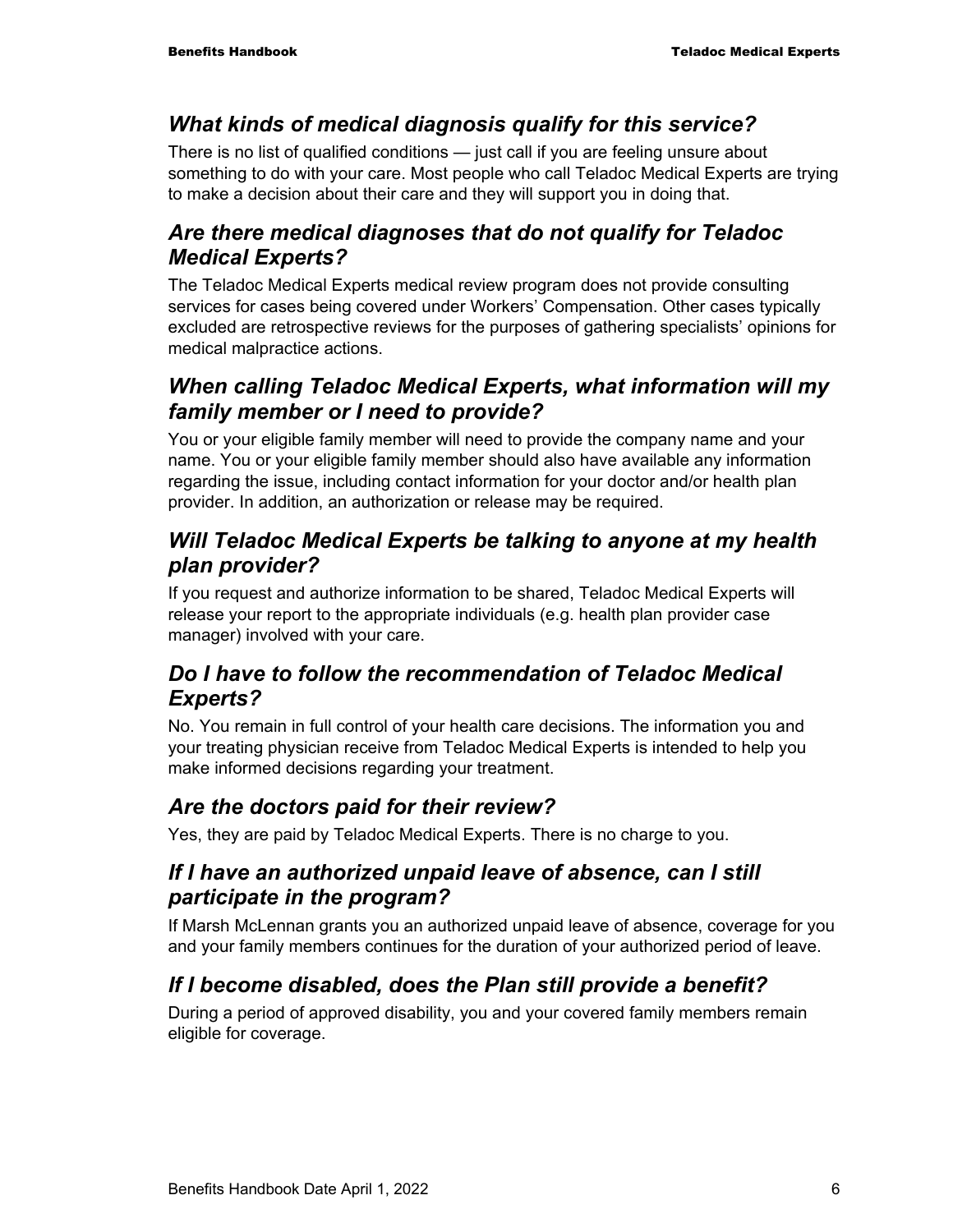#### *What kinds of medical diagnosis qualify for this service?*

There is no list of qualified conditions — just call if you are feeling unsure about something to do with your care. Most people who call Teladoc Medical Experts are trying to make a decision about their care and they will support you in doing that.

#### *Are there medical diagnoses that do not qualify for Teladoc Medical Experts?*

The Teladoc Medical Experts medical review program does not provide consulting services for cases being covered under Workers' Compensation. Other cases typically excluded are retrospective reviews for the purposes of gathering specialists' opinions for medical malpractice actions.

#### *When calling Teladoc Medical Experts, what information will my family member or I need to provide?*

You or your eligible family member will need to provide the company name and your name. You or your eligible family member should also have available any information regarding the issue, including contact information for your doctor and/or health plan provider. In addition, an authorization or release may be required.

#### *Will Teladoc Medical Experts be talking to anyone at my health plan provider?*

If you request and authorize information to be shared, Teladoc Medical Experts will release your report to the appropriate individuals (e.g. health plan provider case manager) involved with your care.

#### *Do I have to follow the recommendation of Teladoc Medical Experts?*

No. You remain in full control of your health care decisions. The information you and your treating physician receive from Teladoc Medical Experts is intended to help you make informed decisions regarding your treatment.

### *Are the doctors paid for their review?*

Yes, they are paid by Teladoc Medical Experts. There is no charge to you.

#### *If I have an authorized unpaid leave of absence, can I still participate in the program?*

If Marsh McLennan grants you an authorized unpaid leave of absence, coverage for you and your family members continues for the duration of your authorized period of leave.

### *If I become disabled, does the Plan still provide a benefit?*

During a period of approved disability, you and your covered family members remain eligible for coverage.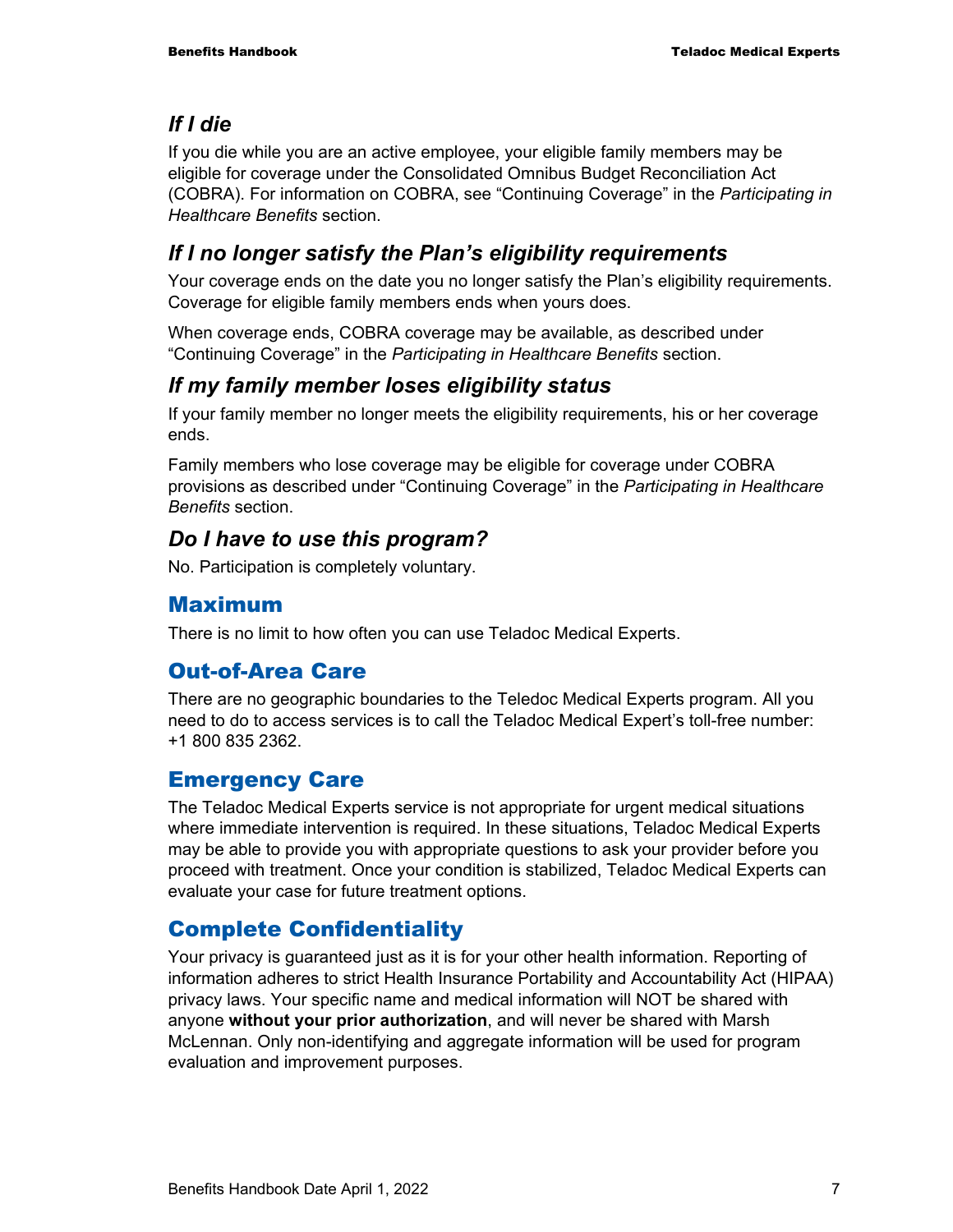### *If I die*

If you die while you are an active employee, your eligible family members may be eligible for coverage under the Consolidated Omnibus Budget Reconciliation Act (COBRA). For information on COBRA, see "Continuing Coverage" in the *Participating in Healthcare Benefits* section.

### *If I no longer satisfy the Plan's eligibility requirements*

Your coverage ends on the date you no longer satisfy the Plan's eligibility requirements. Coverage for eligible family members ends when yours does.

When coverage ends, COBRA coverage may be available, as described under "Continuing Coverage" in the *Participating in Healthcare Benefits* section.

#### *If my family member loses eligibility status*

If your family member no longer meets the eligibility requirements, his or her coverage ends.

Family members who lose coverage may be eligible for coverage under COBRA provisions as described under "Continuing Coverage" in the *Participating in Healthcare Benefits* section.

#### *Do I have to use this program?*

No. Participation is completely voluntary.

#### Maximum

There is no limit to how often you can use Teladoc Medical Experts.

#### Out-of-Area Care

There are no geographic boundaries to the Teledoc Medical Experts program. All you need to do to access services is to call the Teladoc Medical Expert's toll-free number: +1 800 835 2362.

#### Emergency Care

The Teladoc Medical Experts service is not appropriate for urgent medical situations where immediate intervention is required. In these situations, Teladoc Medical Experts may be able to provide you with appropriate questions to ask your provider before you proceed with treatment. Once your condition is stabilized, Teladoc Medical Experts can evaluate your case for future treatment options.

### Complete Confidentiality

Your privacy is guaranteed just as it is for your other health information. Reporting of information adheres to strict Health Insurance Portability and Accountability Act (HIPAA) privacy laws. Your specific name and medical information will NOT be shared with anyone **without your prior authorization**, and will never be shared with Marsh McLennan. Only non-identifying and aggregate information will be used for program evaluation and improvement purposes.